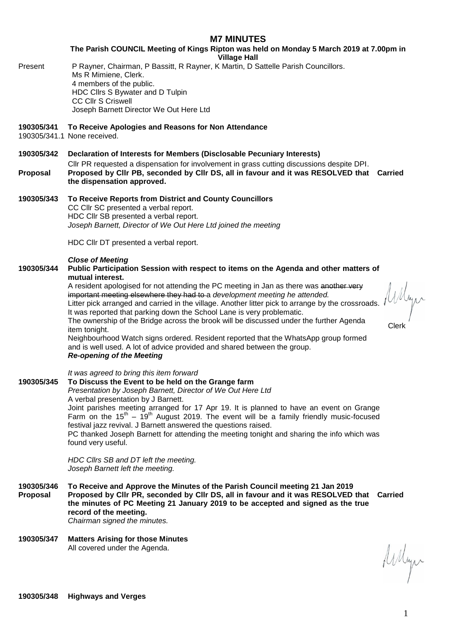# **M7 MINUTES**

**The Parish COUNCIL Meeting of Kings Ripton was held on Monday 5 March 2019 at 7.00pm in Village Hall**

- 
- Present P Rayner, Chairman, P Bassitt, R Rayner, K Martin, D Sattelle Parish Councillors. Ms R Mimiene, Clerk. 4 members of the public. HDC Cllrs S Bywater and D Tulpin CC Cllr S Criswell Joseph Barnett Director We Out Here Ltd

# **190305/341 To Receive Apologies and Reasons for Non Attendance**

190305/341.1 None received.

## **190305/342 Declaration of Interests for Members (Disclosable Pecuniary Interests)**

- Cllr PR requested a dispensation for involvement in grass cutting discussions despite DPI. **Proposal Proposed by Cllr PB, seconded by Cllr DS, all in favour and it was RESOLVED that Carried the dispensation approved.**
- **190305/343 To Receive Reports from District and County Councillors** CC Cllr SC presented a verbal report. HDC Cllr SB presented a verbal report. *Joseph Barnett, Director of We Out Here Ltd joined the meeting*

HDC Cllr DT presented a verbal report.

### *Close of Meeting*

# **190305/344 Public Participation Session with respect to items on the Agenda and other matters of mutual interest.**

A resident apologised for not attending the PC meeting in Jan as there was another very important meeting elsewhere they had to a *development meeting he attended.* Litter pick arranged and carried in the village. Another litter pick to arrange by the crossroads. It was reported that parking down the School Lane is very problematic. The ownership of the Bridge across the brook will be discussed under the further Agenda<br>item tonight. Clerk Neighbourhood Watch signs ordered. Resident reported that the WhatsApp group formed and is well used. A lot of advice provided and shared between the group. *Re-opening of the Meeting*

*It was agreed to bring this item forward*

**190305/345 To Discuss the Event to be held on the Grange farm** *Presentation by Joseph Barnett, Director of We Out Here Ltd* A verbal presentation by J Barnett. Joint parishes meeting arranged for 17 Apr 19. It is planned to have an event on Grange Farm on the  $15^{th}$  –  $19^{th}$  August 2019. The event will be a family friendly music-focused festival jazz revival. J Barnett answered the questions raised. PC thanked Joseph Barnett for attending the meeting tonight and sharing the info which was found very useful.

> *HDC Cllrs SB and DT left the meeting. Joseph Barnett left the meeting.*

**190305/346 To Receive and Approve the Minutes of the Parish Council meeting 21 Jan 2019 Proposal Proposed by Cllr PR, seconded by Cllr DS, all in favour and it was RESOLVED that Carried the minutes of PC Meeting 21 January 2019 to be accepted and signed as the true record of the meeting.**

*Chairman signed the minutes.*

### **190305/347 Matters Arising for those Minutes** All covered under the Agenda.

Arlyn

Allyn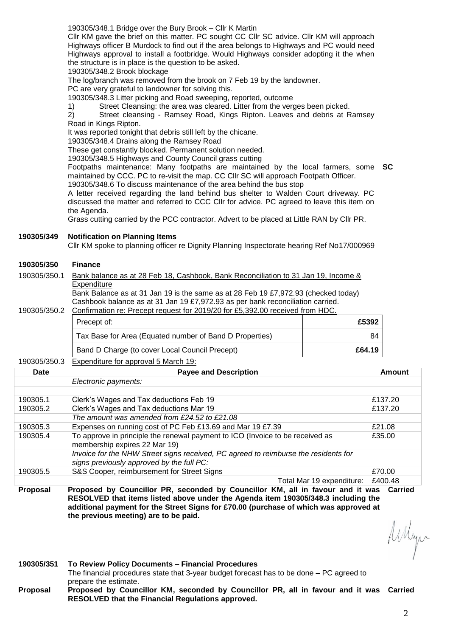190305/348.1 Bridge over the Bury Brook – Cllr K Martin

Cllr KM gave the brief on this matter. PC sought CC Cllr SC advice. Cllr KM will approach Highways officer B Murdock to find out if the area belongs to Highways and PC would need Highways approval to install a footbridge. Would Highways consider adopting it the when the structure is in place is the question to be asked.

190305/348.2 Brook blockage

The log/branch was removed from the brook on 7 Feb 19 by the landowner.

PC are very grateful to landowner for solving this.

190305/348.3 Litter picking and Road sweeping, reported, outcome

1) Street Cleansing: the area was cleared. Litter from the verges been picked.

2) Street cleansing - Ramsey Road, Kings Ripton. Leaves and debris at Ramsey Road in Kings Ripton.

It was reported tonight that debris still left by the chicane.

190305/348.4 Drains along the Ramsey Road

These get constantly blocked. Permanent solution needed.

190305/348.5 Highways and County Council grass cutting

Footpaths maintenance: Many footpaths are maintained by the local farmers, some **SC** maintained by CCC. PC to re-visit the map. CC Cllr SC will approach Footpath Officer.

190305/348.6 To discuss maintenance of the area behind the bus stop

A letter received regarding the land behind bus shelter to Walden Court driveway. PC discussed the matter and referred to CCC Cllr for advice. PC agreed to leave this item on the Agenda.

Grass cutting carried by the PCC contractor. Advert to be placed at Little RAN by Cllr PR.

**190305/349 Notification on Planning Items**

Cllr KM spoke to planning officer re Dignity Planning Inspectorate hearing Ref No17/000969

#### **190305/350 Finance**

|  | 190305/350.1 Bank balance as at 28 Feb 18, Cashbook, Bank Reconciliation to 31 Jan 19, Income & |
|--|-------------------------------------------------------------------------------------------------|
|  | Expenditure                                                                                     |
|  | <u>Del Delecce e di Alteria del contenera do Estrio Azio Azio Antiche del V</u>                 |

Bank Balance as at 31 Jan 19 is the same as at 28 Feb 19 £7,972.93 (checked today) Cashbook balance as at 31 Jan 19 £7,972.93 as per bank reconciliation carried. 190305/350.2 Confirmation re: Precept request for 2019/20 for £5,392.00 received from HDC.

| 00 OUU.L | <u> OUTITITIQUOTTIO. TITOODI TOGOOGI TOI ZOTUJZO TOI ZUJUUZIJO TOOOTVOQ ITOITI TIDO.</u> |        |
|----------|------------------------------------------------------------------------------------------|--------|
|          | Precept of:                                                                              | £5392  |
|          | Tax Base for Area (Equated number of Band D Properties)                                  | 84     |
|          | Band D Charge (to cover Local Council Precept)                                           | £64.19 |

#### 190305/350.3 Expenditure for approval 5 March 19:

| Date     | <b>Payee and Description</b>                                                                                                     | Amount  |
|----------|----------------------------------------------------------------------------------------------------------------------------------|---------|
|          | Electronic payments:                                                                                                             |         |
|          |                                                                                                                                  |         |
| 190305.1 | Clerk's Wages and Tax deductions Feb 19                                                                                          | £137.20 |
| 190305.2 | Clerk's Wages and Tax deductions Mar 19                                                                                          | £137.20 |
|          | The amount was amended from £24.52 to £21.08                                                                                     |         |
| 190305.3 | Expenses on running cost of PC Feb £13.69 and Mar 19 £7.39                                                                       | £21.08  |
| 190305.4 | To approve in principle the renewal payment to ICO (Invoice to be received as<br>membership expires 22 Mar 19)                   | £35.00  |
|          | Invoice for the NHW Street signs received, PC agreed to reimburse the residents for<br>signs previously approved by the full PC: |         |
| 190305.5 | S&S Cooper, reimbursement for Street Signs                                                                                       | £70.00  |
|          | Total Mar 19 expenditure:                                                                                                        | £400.48 |

**Proposal Proposed by Councillor PR, seconded by Councillor KM, all in favour and it was Carried RESOLVED that items listed above under the Agenda item 190305/348.3 including the additional payment for the Street Signs for £70.00 (purchase of which was approved at the previous meeting) are to be paid.**

Arlyn

**190305/351 To Review Policy Documents – Financial Procedures** The financial procedures state that 3-year budget forecast has to be done – PC agreed to prepare the estimate. **Proposal Proposed by Councillor KM, seconded by Councillor PR, all in favour and it was CarriedRESOLVED that the Financial Regulations approved.**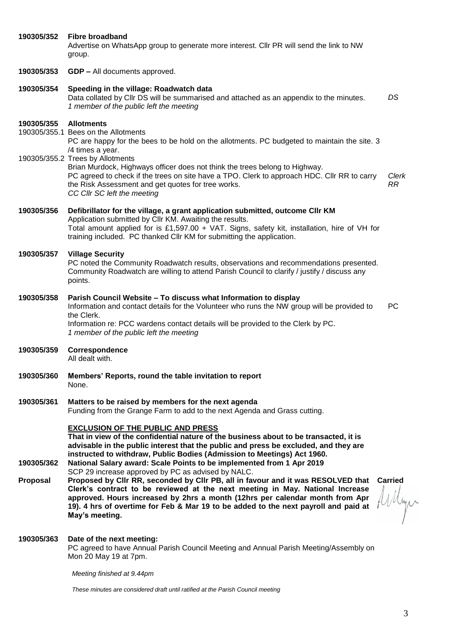| 190305/352      | <b>Fibre broadband</b><br>Advertise on WhatsApp group to generate more interest. Cllr PR will send the link to NW<br>group.                                                                                                                                                                                                                                                                                      |                          |
|-----------------|------------------------------------------------------------------------------------------------------------------------------------------------------------------------------------------------------------------------------------------------------------------------------------------------------------------------------------------------------------------------------------------------------------------|--------------------------|
| 190305/353      | <b>GDP - All documents approved.</b>                                                                                                                                                                                                                                                                                                                                                                             |                          |
| 190305/354      | Speeding in the village: Roadwatch data<br>Data collated by Cllr DS will be summarised and attached as an appendix to the minutes.<br>1 member of the public left the meeting                                                                                                                                                                                                                                    | DS                       |
| 190305/355      | <b>Allotments</b><br>190305/355.1 Bees on the Allotments<br>PC are happy for the bees to be hold on the allotments. PC budgeted to maintain the site. 3<br>/4 times a year.                                                                                                                                                                                                                                      |                          |
|                 | 190305/355.2 Trees by Allotments<br>Brian Murdock, Highways officer does not think the trees belong to Highway.<br>PC agreed to check if the trees on site have a TPO. Clerk to approach HDC. Cllr RR to carry<br>the Risk Assessment and get quotes for tree works.<br>CC Cllr SC left the meeting                                                                                                              | Clerk<br><b>RR</b>       |
| 190305/356      | Defibrillator for the village, a grant application submitted, outcome CIIr KM<br>Application submitted by Cllr KM. Awaiting the results.<br>Total amount applied for is £1,597.00 + VAT. Signs, safety kit, installation, hire of VH for<br>training included. PC thanked Cllr KM for submitting the application.                                                                                                |                          |
| 190305/357      | <b>Village Security</b><br>PC noted the Community Roadwatch results, observations and recommendations presented.<br>Community Roadwatch are willing to attend Parish Council to clarify / justify / discuss any<br>points.                                                                                                                                                                                       |                          |
| 190305/358      | Parish Council Website - To discuss what Information to display<br>Information and contact details for the Volunteer who runs the NW group will be provided to<br>the Clerk.<br>Information re: PCC wardens contact details will be provided to the Clerk by PC.<br>1 member of the public left the meeting                                                                                                      | <b>PC</b>                |
| 190305/359      | Correspondence<br>All dealt with.                                                                                                                                                                                                                                                                                                                                                                                |                          |
| 190305/360      | Members' Reports, round the table invitation to report<br>None.                                                                                                                                                                                                                                                                                                                                                  |                          |
| 190305/361      | Matters to be raised by members for the next agenda<br>Funding from the Grange Farm to add to the next Agenda and Grass cutting.                                                                                                                                                                                                                                                                                 |                          |
| 190305/362      | <b>EXCLUSION OF THE PUBLIC AND PRESS</b><br>That in view of the confidential nature of the business about to be transacted, it is<br>advisable in the public interest that the public and press be excluded, and they are<br>instructed to withdraw, Public Bodies (Admission to Meetings) Act 1960.<br>National Salary award: Scale Points to be implemented from 1 Apr 2019                                    |                          |
| <b>Proposal</b> | SCP 29 increase approved by PC as advised by NALC.<br>Proposed by Cllr RR, seconded by Cllr PB, all in favour and it was RESOLVED that<br>Clerk's contract to be reviewed at the next meeting in May. National Increase<br>approved. Hours increased by 2hrs a month (12hrs per calendar month from Apr<br>19). 4 hrs of overtime for Feb & Mar 19 to be added to the next payroll and paid at<br>May's meeting. | <b>Carried</b><br>Willyn |
| 190305/363      | Date of the next meeting:<br>PC agreed to have Annual Parish Council Meeting and Annual Parish Meeting/Assembly on<br>Mon 20 May 19 at 7pm.                                                                                                                                                                                                                                                                      |                          |

*Meeting finished at 9.44pm*

*These minutes are considered draft until ratified at the Parish Council meeting*